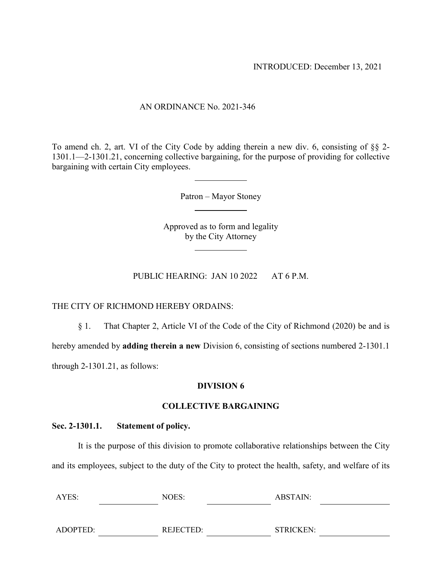## AN ORDINANCE No. 2021-346

To amend ch. 2, art. VI of the City Code by adding therein a new div. 6, consisting of §§ 2- 1301.1—2-1301.21, concerning collective bargaining, for the purpose of providing for collective bargaining with certain City employees.

Patron – Mayor Stoney

Approved as to form and legality by the City Attorney

PUBLIC HEARING: JAN 10 2022 AT 6 P.M.

#### THE CITY OF RICHMOND HEREBY ORDAINS:

§ 1. That Chapter 2, Article VI of the Code of the City of Richmond (2020) be and is

hereby amended by **adding therein a new** Division 6, consisting of sections numbered 2-1301.1

through 2-1301.21, as follows:

#### **DIVISION 6**

#### **COLLECTIVE BARGAINING**

#### **Sec. 2-1301.1. Statement of policy.**

It is the purpose of this division to promote collaborative relationships between the City and its employees, subject to the duty of the City to protect the health, safety, and welfare of its

| AYES:    | NOES:     | ABSTAIN:         |
|----------|-----------|------------------|
|          |           |                  |
| ADOPTED: | REJECTED: | <b>STRICKEN:</b> |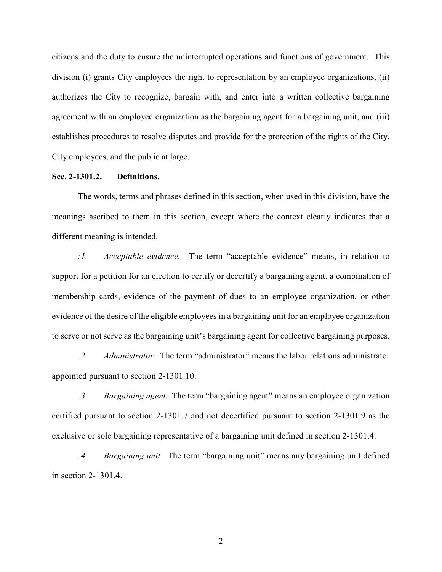citizens and the duty to ensure the uninterrupted operations and functions of government. This division (i) grants City employees the right to representation by an employee organizations, (ii) authorizes the City to recognize, bargain with, and enter into a written collective bargaining agreement with an employee organization as the bargaining agent for a bargaining unit, and (iii) establishes procedures to resolve disputes and provide for the protection of the rights of the City, City employees, and the public at large.

#### **Sec. 2-1301.2. Definitions.**

The words, terms and phrases defined in this section, when used in this division, have the meanings ascribed to them in this section, except where the context clearly indicates that a different meaning is intended.

*:1. Acceptable evidence.* The term "acceptable evidence" means, in relation to support for a petition for an election to certify or decertify a bargaining agent, a combination of membership cards, evidence of the payment of dues to an employee organization, or other evidence of the desire of the eligible employees in a bargaining unit for an employee organization to serve or not serve as the bargaining unit's bargaining agent for collective bargaining purposes.

*:2. Administrator.* The term "administrator" means the labor relations administrator appointed pursuant to section 2-1301.10.

*:3. Bargaining agent.* The term "bargaining agent" means an employee organization certified pursuant to section 2-1301.7 and not decertified pursuant to section 2-1301.9 as the exclusive or sole bargaining representative of a bargaining unit defined in section 2-1301.4.

*:4. Bargaining unit.* The term "bargaining unit" means any bargaining unit defined in section 2-1301.4.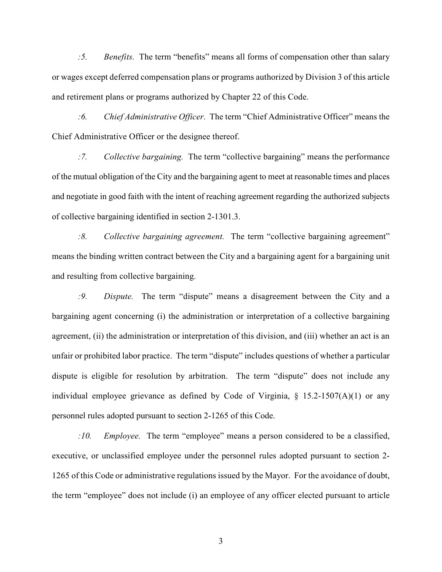*:5. Benefits.* The term "benefits" means all forms of compensation other than salary or wages except deferred compensation plans or programs authorized by Division 3 of this article and retirement plans or programs authorized by Chapter 22 of this Code.

*:6. Chief Administrative Officer.* The term "Chief Administrative Officer" means the Chief Administrative Officer or the designee thereof.

*:7. Collective bargaining.* The term "collective bargaining" means the performance of the mutual obligation of the City and the bargaining agent to meet at reasonable times and places and negotiate in good faith with the intent of reaching agreement regarding the authorized subjects of collective bargaining identified in section 2-1301.3.

*:8. Collective bargaining agreement.* The term "collective bargaining agreement" means the binding written contract between the City and a bargaining agent for a bargaining unit and resulting from collective bargaining.

*:9. Dispute.* The term "dispute" means a disagreement between the City and a bargaining agent concerning (i) the administration or interpretation of a collective bargaining agreement, (ii) the administration or interpretation of this division, and (iii) whether an act is an unfair or prohibited labor practice. The term "dispute" includes questions of whether a particular dispute is eligible for resolution by arbitration. The term "dispute" does not include any individual employee grievance as defined by Code of Virginia,  $\S$  15.2-1507(A)(1) or any personnel rules adopted pursuant to section 2-1265 of this Code.

*:10. Employee.* The term "employee" means a person considered to be a classified, executive, or unclassified employee under the personnel rules adopted pursuant to section 2- 1265 of this Code or administrative regulations issued by the Mayor. For the avoidance of doubt, the term "employee" does not include (i) an employee of any officer elected pursuant to article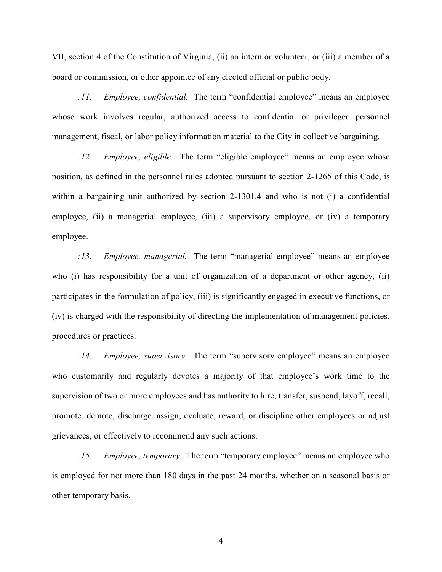VII, section 4 of the Constitution of Virginia, (ii) an intern or volunteer, or (iii) a member of a board or commission, or other appointee of any elected official or public body.

*:11. Employee, confidential.* The term "confidential employee" means an employee whose work involves regular, authorized access to confidential or privileged personnel management, fiscal, or labor policy information material to the City in collective bargaining.

*:12. Employee, eligible.* The term "eligible employee" means an employee whose position, as defined in the personnel rules adopted pursuant to section 2-1265 of this Code, is within a bargaining unit authorized by section 2-1301.4 and who is not (i) a confidential employee, (ii) a managerial employee, (iii) a supervisory employee, or (iv) a temporary employee.

*:13. Employee, managerial.* The term "managerial employee" means an employee who (i) has responsibility for a unit of organization of a department or other agency, (ii) participates in the formulation of policy, (iii) is significantly engaged in executive functions, or (iv) is charged with the responsibility of directing the implementation of management policies, procedures or practices.

*:14. Employee, supervisory.* The term "supervisory employee" means an employee who customarily and regularly devotes a majority of that employee's work time to the supervision of two or more employees and has authority to hire, transfer, suspend, layoff, recall, promote, demote, discharge, assign, evaluate, reward, or discipline other employees or adjust grievances, or effectively to recommend any such actions.

*:15. Employee, temporary.* The term "temporary employee" means an employee who is employed for not more than 180 days in the past 24 months, whether on a seasonal basis or other temporary basis.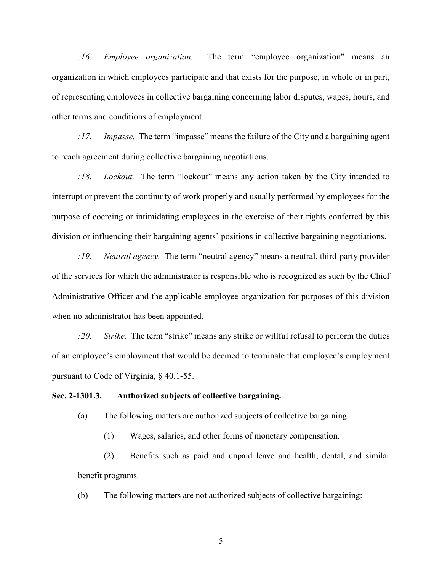*:16. Employee organization.* The term "employee organization" means an organization in which employees participate and that exists for the purpose, in whole or in part, of representing employees in collective bargaining concerning labor disputes, wages, hours, and other terms and conditions of employment.

*:17. Impasse.* The term "impasse" means the failure of the City and a bargaining agent to reach agreement during collective bargaining negotiations.

*:18. Lockout.* The term "lockout" means any action taken by the City intended to interrupt or prevent the continuity of work properly and usually performed by employees for the purpose of coercing or intimidating employees in the exercise of their rights conferred by this division or influencing their bargaining agents' positions in collective bargaining negotiations.

*:19. Neutral agency.* The term "neutral agency" means a neutral, third-party provider of the services for which the administrator is responsible who is recognized as such by the Chief Administrative Officer and the applicable employee organization for purposes of this division when no administrator has been appointed.

*:20. Strike.* The term "strike" means any strike or willful refusal to perform the duties of an employee's employment that would be deemed to terminate that employee's employment pursuant to Code of Virginia, § 40.1-55.

#### **Sec. 2-1301.3. Authorized subjects of collective bargaining.**

(a) The following matters are authorized subjects of collective bargaining:

(1) Wages, salaries, and other forms of monetary compensation.

(2) Benefits such as paid and unpaid leave and health, dental, and similar benefit programs.

(b) The following matters are not authorized subjects of collective bargaining: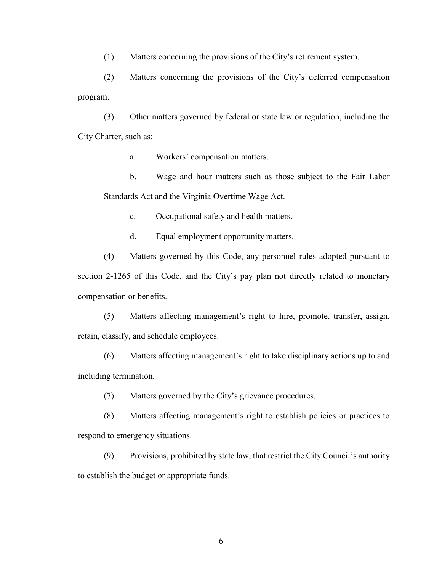(1) Matters concerning the provisions of the City's retirement system.

(2) Matters concerning the provisions of the City's deferred compensation program.

(3) Other matters governed by federal or state law or regulation, including the City Charter, such as:

a. Workers' compensation matters.

b. Wage and hour matters such as those subject to the Fair Labor Standards Act and the Virginia Overtime Wage Act.

c. Occupational safety and health matters.

d. Equal employment opportunity matters.

(4) Matters governed by this Code, any personnel rules adopted pursuant to section 2-1265 of this Code, and the City's pay plan not directly related to monetary compensation or benefits.

(5) Matters affecting management's right to hire, promote, transfer, assign, retain, classify, and schedule employees.

(6) Matters affecting management's right to take disciplinary actions up to and including termination.

(7) Matters governed by the City's grievance procedures.

(8) Matters affecting management's right to establish policies or practices to respond to emergency situations.

(9) Provisions, prohibited by state law, that restrict the City Council's authority to establish the budget or appropriate funds.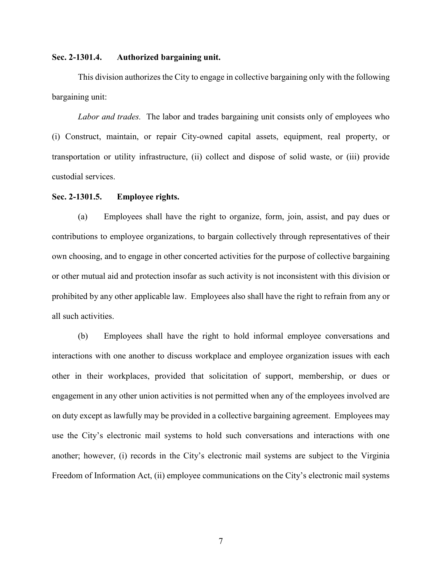#### **Sec. 2-1301.4. Authorized bargaining unit.**

This division authorizes the City to engage in collective bargaining only with the following bargaining unit:

*Labor and trades.* The labor and trades bargaining unit consists only of employees who (i) Construct, maintain, or repair City-owned capital assets, equipment, real property, or transportation or utility infrastructure, (ii) collect and dispose of solid waste, or (iii) provide custodial services.

#### **Sec. 2-1301.5. Employee rights.**

(a) Employees shall have the right to organize, form, join, assist, and pay dues or contributions to employee organizations, to bargain collectively through representatives of their own choosing, and to engage in other concerted activities for the purpose of collective bargaining or other mutual aid and protection insofar as such activity is not inconsistent with this division or prohibited by any other applicable law. Employees also shall have the right to refrain from any or all such activities.

(b) Employees shall have the right to hold informal employee conversations and interactions with one another to discuss workplace and employee organization issues with each other in their workplaces, provided that solicitation of support, membership, or dues or engagement in any other union activities is not permitted when any of the employees involved are on duty except as lawfully may be provided in a collective bargaining agreement. Employees may use the City's electronic mail systems to hold such conversations and interactions with one another; however, (i) records in the City's electronic mail systems are subject to the Virginia Freedom of Information Act, (ii) employee communications on the City's electronic mail systems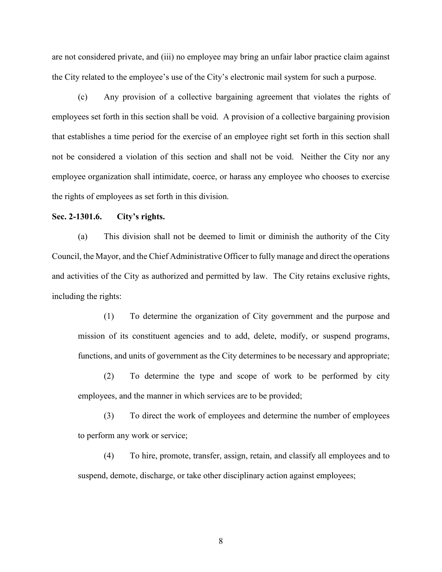are not considered private, and (iii) no employee may bring an unfair labor practice claim against the City related to the employee's use of the City's electronic mail system for such a purpose.

(c) Any provision of a collective bargaining agreement that violates the rights of employees set forth in this section shall be void. A provision of a collective bargaining provision that establishes a time period for the exercise of an employee right set forth in this section shall not be considered a violation of this section and shall not be void. Neither the City nor any employee organization shall intimidate, coerce, or harass any employee who chooses to exercise the rights of employees as set forth in this division.

#### **Sec. 2-1301.6. City's rights.**

(a) This division shall not be deemed to limit or diminish the authority of the City Council, the Mayor, and the Chief Administrative Officer to fully manage and direct the operations and activities of the City as authorized and permitted by law. The City retains exclusive rights, including the rights:

(1) To determine the organization of City government and the purpose and mission of its constituent agencies and to add, delete, modify, or suspend programs, functions, and units of government as the City determines to be necessary and appropriate;

(2) To determine the type and scope of work to be performed by city employees, and the manner in which services are to be provided;

(3) To direct the work of employees and determine the number of employees to perform any work or service;

(4) To hire, promote, transfer, assign, retain, and classify all employees and to suspend, demote, discharge, or take other disciplinary action against employees;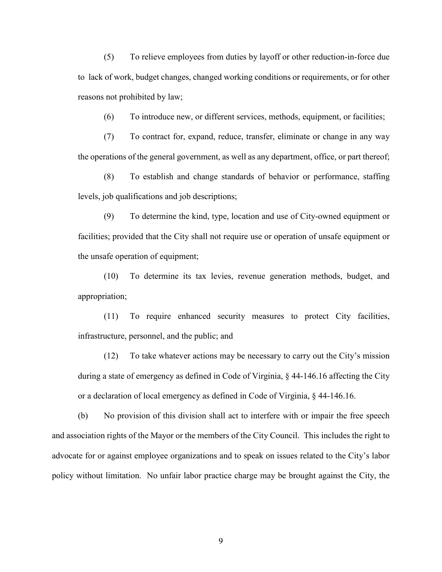(5) To relieve employees from duties by layoff or other reduction-in-force due to lack of work, budget changes, changed working conditions or requirements, or for other reasons not prohibited by law;

(6) To introduce new, or different services, methods, equipment, or facilities;

(7) To contract for, expand, reduce, transfer, eliminate or change in any way the operations of the general government, as well as any department, office, or part thereof;

(8) To establish and change standards of behavior or performance, staffing levels, job qualifications and job descriptions;

(9) To determine the kind, type, location and use of City-owned equipment or facilities; provided that the City shall not require use or operation of unsafe equipment or the unsafe operation of equipment;

(10) To determine its tax levies, revenue generation methods, budget, and appropriation;

(11) To require enhanced security measures to protect City facilities, infrastructure, personnel, and the public; and

(12) To take whatever actions may be necessary to carry out the City's mission during a state of emergency as defined in Code of Virginia, § 44-146.16 affecting the City or a declaration of local emergency as defined in Code of Virginia, § 44-146.16.

(b) No provision of this division shall act to interfere with or impair the free speech and association rights of the Mayor or the members of the City Council. This includes the right to advocate for or against employee organizations and to speak on issues related to the City's labor policy without limitation. No unfair labor practice charge may be brought against the City, the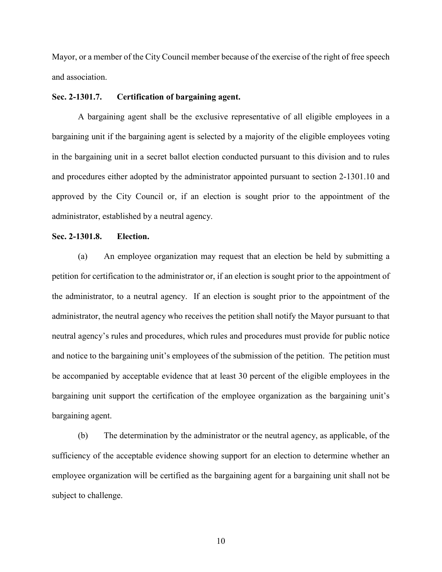Mayor, or a member of the City Council member because of the exercise of the right of free speech and association.

#### **Sec. 2-1301.7. Certification of bargaining agent.**

A bargaining agent shall be the exclusive representative of all eligible employees in a bargaining unit if the bargaining agent is selected by a majority of the eligible employees voting in the bargaining unit in a secret ballot election conducted pursuant to this division and to rules and procedures either adopted by the administrator appointed pursuant to section 2-1301.10 and approved by the City Council or, if an election is sought prior to the appointment of the administrator, established by a neutral agency.

#### **Sec. 2-1301.8. Election.**

(a) An employee organization may request that an election be held by submitting a petition for certification to the administrator or, if an election is sought prior to the appointment of the administrator, to a neutral agency. If an election is sought prior to the appointment of the administrator, the neutral agency who receives the petition shall notify the Mayor pursuant to that neutral agency's rules and procedures, which rules and procedures must provide for public notice and notice to the bargaining unit's employees of the submission of the petition. The petition must be accompanied by acceptable evidence that at least 30 percent of the eligible employees in the bargaining unit support the certification of the employee organization as the bargaining unit's bargaining agent.

(b) The determination by the administrator or the neutral agency, as applicable, of the sufficiency of the acceptable evidence showing support for an election to determine whether an employee organization will be certified as the bargaining agent for a bargaining unit shall not be subject to challenge.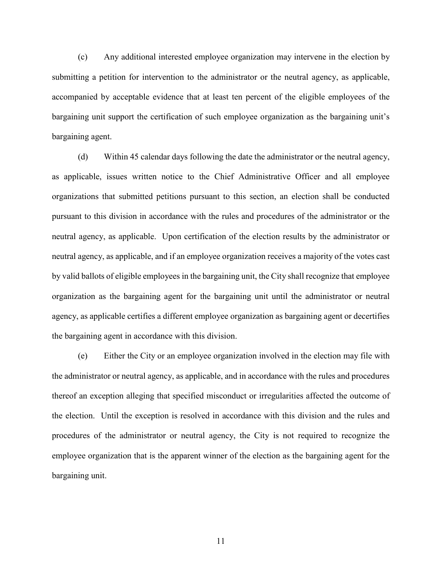(c) Any additional interested employee organization may intervene in the election by submitting a petition for intervention to the administrator or the neutral agency, as applicable, accompanied by acceptable evidence that at least ten percent of the eligible employees of the bargaining unit support the certification of such employee organization as the bargaining unit's bargaining agent.

(d) Within 45 calendar days following the date the administrator or the neutral agency, as applicable, issues written notice to the Chief Administrative Officer and all employee organizations that submitted petitions pursuant to this section, an election shall be conducted pursuant to this division in accordance with the rules and procedures of the administrator or the neutral agency, as applicable. Upon certification of the election results by the administrator or neutral agency, as applicable, and if an employee organization receives a majority of the votes cast by valid ballots of eligible employees in the bargaining unit, the City shall recognize that employee organization as the bargaining agent for the bargaining unit until the administrator or neutral agency, as applicable certifies a different employee organization as bargaining agent or decertifies the bargaining agent in accordance with this division.

(e) Either the City or an employee organization involved in the election may file with the administrator or neutral agency, as applicable, and in accordance with the rules and procedures thereof an exception alleging that specified misconduct or irregularities affected the outcome of the election. Until the exception is resolved in accordance with this division and the rules and procedures of the administrator or neutral agency, the City is not required to recognize the employee organization that is the apparent winner of the election as the bargaining agent for the bargaining unit.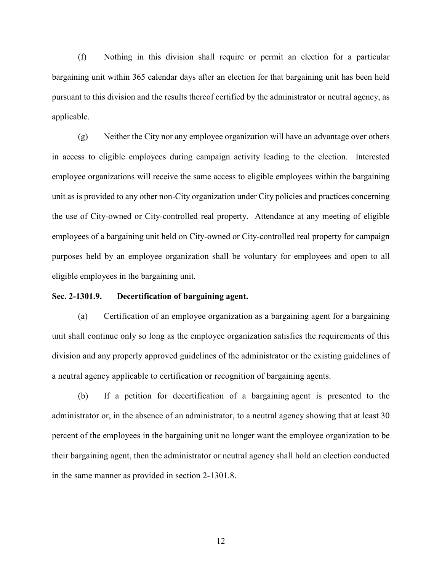(f) Nothing in this division shall require or permit an election for a particular bargaining unit within 365 calendar days after an election for that bargaining unit has been held pursuant to this division and the results thereof certified by the administrator or neutral agency, as applicable.

(g) Neither the City nor any employee organization will have an advantage over others in access to eligible employees during campaign activity leading to the election. Interested employee organizations will receive the same access to eligible employees within the bargaining unit as is provided to any other non-City organization under City policies and practices concerning the use of City-owned or City-controlled real property. Attendance at any meeting of eligible employees of a bargaining unit held on City-owned or City-controlled real property for campaign purposes held by an employee organization shall be voluntary for employees and open to all eligible employees in the bargaining unit.

#### **Sec. 2-1301.9. Decertification of bargaining agent.**

(a) Certification of an employee organization as a bargaining agent for a bargaining unit shall continue only so long as the employee organization satisfies the requirements of this division and any properly approved guidelines of the administrator or the existing guidelines of a neutral agency applicable to certification or recognition of bargaining agents.

(b) If a petition for decertification of a bargaining agent is presented to the administrator or, in the absence of an administrator, to a neutral agency showing that at least 30 percent of the employees in the bargaining unit no longer want the employee organization to be their bargaining agent, then the administrator or neutral agency shall hold an election conducted in the same manner as provided in section 2-1301.8.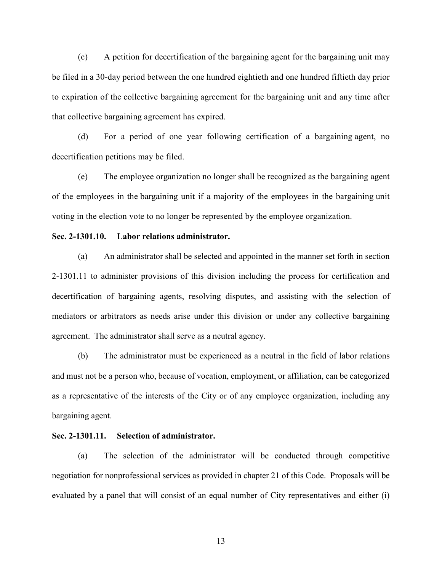(c) A petition for decertification of the bargaining agent for the bargaining unit may be filed in a 30-day period between the one hundred eightieth and one hundred fiftieth day prior to expiration of the collective bargaining agreement for the bargaining unit and any time after that collective bargaining agreement has expired.

(d) For a period of one year following certification of a bargaining agent, no decertification petitions may be filed.

(e) The employee organization no longer shall be recognized as the bargaining agent of the employees in the bargaining unit if a majority of the employees in the bargaining unit voting in the election vote to no longer be represented by the employee organization.

#### **Sec. 2-1301.10. Labor relations administrator.**

(a) An administrator shall be selected and appointed in the manner set forth in section 2-1301.11 to administer provisions of this division including the process for certification and decertification of bargaining agents, resolving disputes, and assisting with the selection of mediators or arbitrators as needs arise under this division or under any collective bargaining agreement. The administrator shall serve as a neutral agency.

(b) The administrator must be experienced as a neutral in the field of labor relations and must not be a person who, because of vocation, employment, or affiliation, can be categorized as a representative of the interests of the City or of any employee organization, including any bargaining agent.

#### **Sec. 2-1301.11. Selection of administrator.**

(a) The selection of the administrator will be conducted through competitive negotiation for nonprofessional services as provided in chapter 21 of this Code. Proposals will be evaluated by a panel that will consist of an equal number of City representatives and either (i)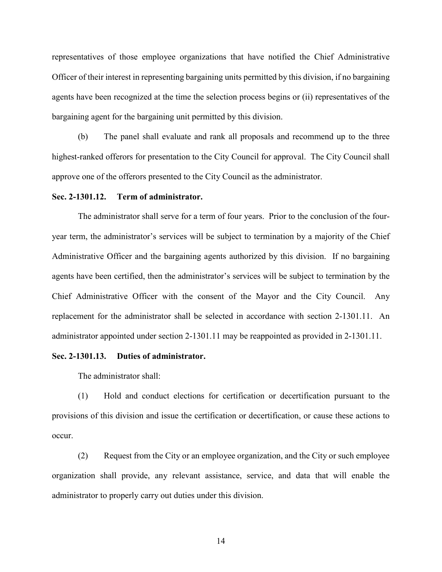representatives of those employee organizations that have notified the Chief Administrative Officer of their interest in representing bargaining units permitted by this division, if no bargaining agents have been recognized at the time the selection process begins or (ii) representatives of the bargaining agent for the bargaining unit permitted by this division.

(b) The panel shall evaluate and rank all proposals and recommend up to the three highest-ranked offerors for presentation to the City Council for approval. The City Council shall approve one of the offerors presented to the City Council as the administrator.

#### **Sec. 2-1301.12. Term of administrator.**

The administrator shall serve for a term of four years. Prior to the conclusion of the fouryear term, the administrator's services will be subject to termination by a majority of the Chief Administrative Officer and the bargaining agents authorized by this division. If no bargaining agents have been certified, then the administrator's services will be subject to termination by the Chief Administrative Officer with the consent of the Mayor and the City Council. Any replacement for the administrator shall be selected in accordance with section 2-1301.11. An administrator appointed under section 2-1301.11 may be reappointed as provided in 2-1301.11.

#### **Sec. 2-1301.13. Duties of administrator.**

The administrator shall:

(1) Hold and conduct elections for certification or decertification pursuant to the provisions of this division and issue the certification or decertification, or cause these actions to occur.

(2) Request from the City or an employee organization, and the City or such employee organization shall provide, any relevant assistance, service, and data that will enable the administrator to properly carry out duties under this division.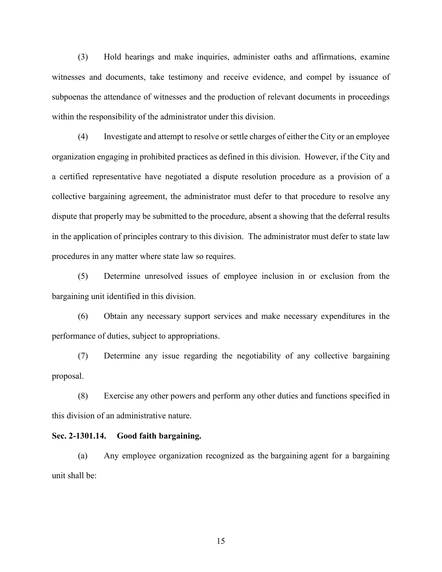(3) Hold hearings and make inquiries, administer oaths and affirmations, examine witnesses and documents, take testimony and receive evidence, and compel by issuance of subpoenas the attendance of witnesses and the production of relevant documents in proceedings within the responsibility of the administrator under this division.

(4) Investigate and attempt to resolve or settle charges of either the City or an employee organization engaging in prohibited practices as defined in this division. However, if the City and a certified representative have negotiated a dispute resolution procedure as a provision of a collective bargaining agreement, the administrator must defer to that procedure to resolve any dispute that properly may be submitted to the procedure, absent a showing that the deferral results in the application of principles contrary to this division. The administrator must defer to state law procedures in any matter where state law so requires.

(5) Determine unresolved issues of employee inclusion in or exclusion from the bargaining unit identified in this division.

(6) Obtain any necessary support services and make necessary expenditures in the performance of duties, subject to appropriations.

(7) Determine any issue regarding the negotiability of any collective bargaining proposal.

(8) Exercise any other powers and perform any other duties and functions specified in this division of an administrative nature.

#### **Sec. 2-1301.14. Good faith bargaining.**

(a) Any employee organization recognized as the bargaining agent for a bargaining unit shall be: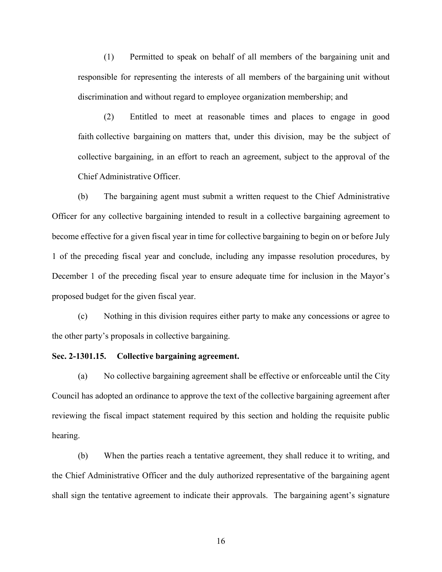(1) Permitted to speak on behalf of all members of the bargaining unit and responsible for representing the interests of all members of the bargaining unit without discrimination and without regard to employee organization membership; and

(2) Entitled to meet at reasonable times and places to engage in good faith collective bargaining on matters that, under this division, may be the subject of collective bargaining, in an effort to reach an agreement, subject to the approval of the Chief Administrative Officer.

(b) The bargaining agent must submit a written request to the Chief Administrative Officer for any collective bargaining intended to result in a collective bargaining agreement to become effective for a given fiscal year in time for collective bargaining to begin on or before July 1 of the preceding fiscal year and conclude, including any impasse resolution procedures, by December 1 of the preceding fiscal year to ensure adequate time for inclusion in the Mayor's proposed budget for the given fiscal year.

(c) Nothing in this division requires either party to make any concessions or agree to the other party's proposals in collective bargaining.

#### **Sec. 2-1301.15. Collective bargaining agreement.**

(a) No collective bargaining agreement shall be effective or enforceable until the City Council has adopted an ordinance to approve the text of the collective bargaining agreement after reviewing the fiscal impact statement required by this section and holding the requisite public hearing.

(b) When the parties reach a tentative agreement, they shall reduce it to writing, and the Chief Administrative Officer and the duly authorized representative of the bargaining agent shall sign the tentative agreement to indicate their approvals. The bargaining agent's signature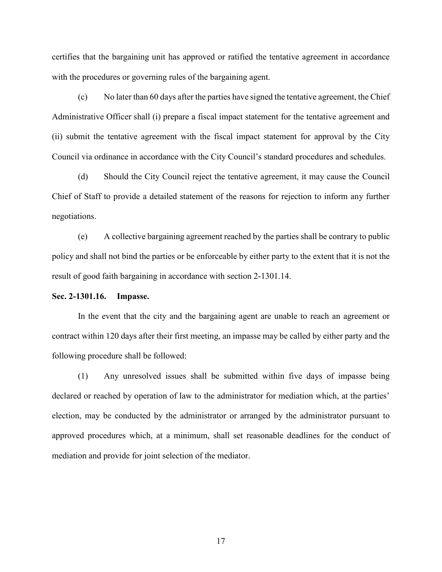certifies that the bargaining unit has approved or ratified the tentative agreement in accordance with the procedures or governing rules of the bargaining agent.

(c) No later than 60 days after the parties have signed the tentative agreement, the Chief Administrative Officer shall (i) prepare a fiscal impact statement for the tentative agreement and (ii) submit the tentative agreement with the fiscal impact statement for approval by the City Council via ordinance in accordance with the City Council's standard procedures and schedules.

(d) Should the City Council reject the tentative agreement, it may cause the Council Chief of Staff to provide a detailed statement of the reasons for rejection to inform any further negotiations.

(e) A collective bargaining agreement reached by the parties shall be contrary to public policy and shall not bind the parties or be enforceable by either party to the extent that it is not the result of good faith bargaining in accordance with section 2-1301.14.

**Sec. 2-1301.16. Impasse.**

In the event that the city and the bargaining agent are unable to reach an agreement or contract within 120 days after their first meeting, an impasse may be called by either party and the following procedure shall be followed:

(1) Any unresolved issues shall be submitted within five days of impasse being declared or reached by operation of law to the administrator for mediation which, at the parties' election, may be conducted by the administrator or arranged by the administrator pursuant to approved procedures which, at a minimum, shall set reasonable deadlines for the conduct of mediation and provide for joint selection of the mediator.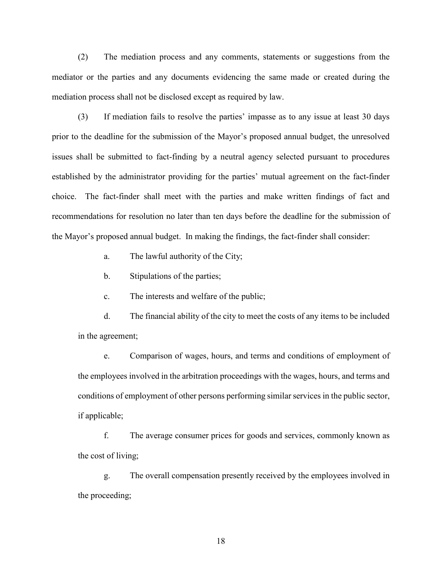(2) The mediation process and any comments, statements or suggestions from the mediator or the parties and any documents evidencing the same made or created during the mediation process shall not be disclosed except as required by law.

(3) If mediation fails to resolve the parties' impasse as to any issue at least 30 days prior to the deadline for the submission of the Mayor's proposed annual budget, the unresolved issues shall be submitted to fact-finding by a neutral agency selected pursuant to procedures established by the administrator providing for the parties' mutual agreement on the fact-finder choice. The fact-finder shall meet with the parties and make written findings of fact and recommendations for resolution no later than ten days before the deadline for the submission of the Mayor's proposed annual budget. In making the findings, the fact-finder shall consider:

a. The lawful authority of the City;

b. Stipulations of the parties;

c. The interests and welfare of the public;

d. The financial ability of the city to meet the costs of any items to be included in the agreement;

e. Comparison of wages, hours, and terms and conditions of employment of the employees involved in the arbitration proceedings with the wages, hours, and terms and conditions of employment of other persons performing similar services in the public sector, if applicable;

f. The average consumer prices for goods and services, commonly known as the cost of living;

g. The overall compensation presently received by the employees involved in the proceeding;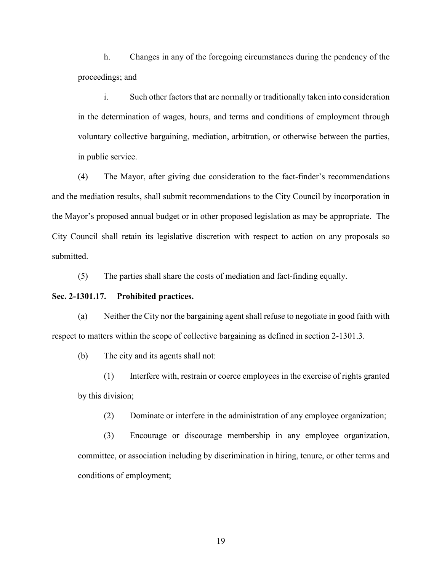h. Changes in any of the foregoing circumstances during the pendency of the proceedings; and

i. Such other factors that are normally or traditionally taken into consideration in the determination of wages, hours, and terms and conditions of employment through voluntary collective bargaining, mediation, arbitration, or otherwise between the parties, in public service.

(4) The Mayor, after giving due consideration to the fact-finder's recommendations and the mediation results, shall submit recommendations to the City Council by incorporation in the Mayor's proposed annual budget or in other proposed legislation as may be appropriate. The City Council shall retain its legislative discretion with respect to action on any proposals so submitted.

(5) The parties shall share the costs of mediation and fact-finding equally.

#### **Sec. 2-1301.17. Prohibited practices.**

(a) Neither the City nor the bargaining agent shall refuse to negotiate in good faith with respect to matters within the scope of collective bargaining as defined in section 2-1301.3.

(b) The city and its agents shall not:

(1) Interfere with, restrain or coerce employees in the exercise of rights granted by this division;

(2) Dominate or interfere in the administration of any employee organization;

(3) Encourage or discourage membership in any employee organization, committee, or association including by discrimination in hiring, tenure, or other terms and conditions of employment;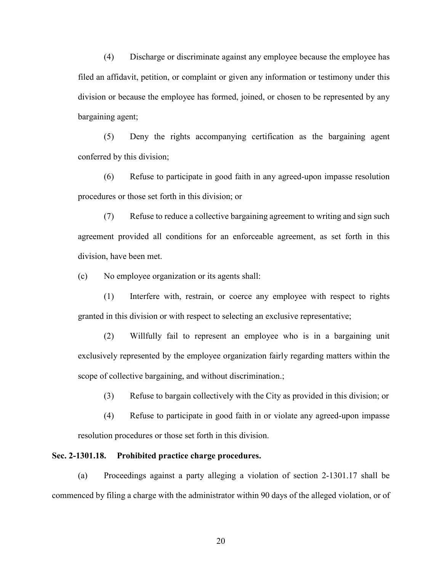(4) Discharge or discriminate against any employee because the employee has filed an affidavit, petition, or complaint or given any information or testimony under this division or because the employee has formed, joined, or chosen to be represented by any bargaining agent;

(5) Deny the rights accompanying certification as the bargaining agent conferred by this division;

(6) Refuse to participate in good faith in any agreed-upon impasse resolution procedures or those set forth in this division; or

(7) Refuse to reduce a collective bargaining agreement to writing and sign such agreement provided all conditions for an enforceable agreement, as set forth in this division, have been met.

(c) No employee organization or its agents shall:

(1) Interfere with, restrain, or coerce any employee with respect to rights granted in this division or with respect to selecting an exclusive representative;

(2) Willfully fail to represent an employee who is in a bargaining unit exclusively represented by the employee organization fairly regarding matters within the scope of collective bargaining, and without discrimination.;

(3) Refuse to bargain collectively with the City as provided in this division; or

(4) Refuse to participate in good faith in or violate any agreed-upon impasse resolution procedures or those set forth in this division.

#### **Sec. 2-1301.18. Prohibited practice charge procedures.**

(a) Proceedings against a party alleging a violation of section 2-1301.17 shall be commenced by filing a charge with the administrator within 90 days of the alleged violation, or of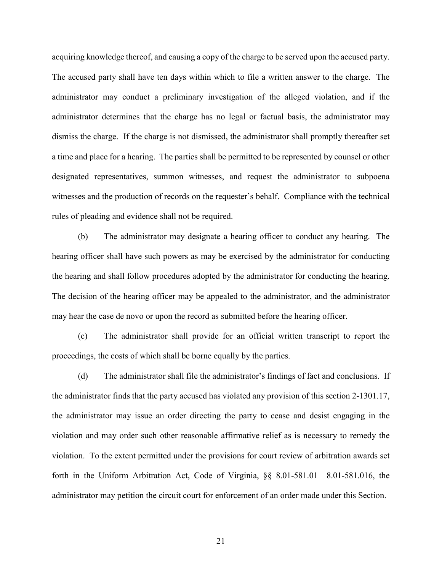acquiring knowledge thereof, and causing a copy of the charge to be served upon the accused party. The accused party shall have ten days within which to file a written answer to the charge. The administrator may conduct a preliminary investigation of the alleged violation, and if the administrator determines that the charge has no legal or factual basis, the administrator may dismiss the charge. If the charge is not dismissed, the administrator shall promptly thereafter set a time and place for a hearing. The parties shall be permitted to be represented by counsel or other designated representatives, summon witnesses, and request the administrator to subpoena witnesses and the production of records on the requester's behalf. Compliance with the technical rules of pleading and evidence shall not be required.

(b) The administrator may designate a hearing officer to conduct any hearing. The hearing officer shall have such powers as may be exercised by the administrator for conducting the hearing and shall follow procedures adopted by the administrator for conducting the hearing. The decision of the hearing officer may be appealed to the administrator, and the administrator may hear the case de novo or upon the record as submitted before the hearing officer.

(c) The administrator shall provide for an official written transcript to report the proceedings, the costs of which shall be borne equally by the parties.

(d) The administrator shall file the administrator's findings of fact and conclusions. If the administrator finds that the party accused has violated any provision of this section 2-1301.17, the administrator may issue an order directing the party to cease and desist engaging in the violation and may order such other reasonable affirmative relief as is necessary to remedy the violation. To the extent permitted under the provisions for court review of arbitration awards set forth in the Uniform Arbitration Act, Code of Virginia, §§ 8.01-581.01—8.01-581.016, the administrator may petition the circuit court for enforcement of an order made under this Section.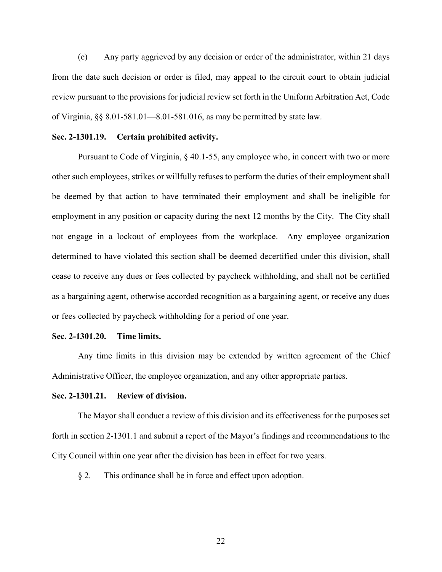(e) Any party aggrieved by any decision or order of the administrator, within 21 days from the date such decision or order is filed, may appeal to the circuit court to obtain judicial review pursuant to the provisions for judicial review set forth in the Uniform Arbitration Act, Code of Virginia,  $\S$ § 8.01-581.01—8.01-581.016, as may be permitted by state law.

#### **Sec. 2-1301.19. Certain prohibited activity.**

Pursuant to Code of Virginia, § 40.1-55, any employee who, in concert with two or more other such employees, strikes or willfully refuses to perform the duties of their employment shall be deemed by that action to have terminated their employment and shall be ineligible for employment in any position or capacity during the next 12 months by the City. The City shall not engage in a lockout of employees from the workplace. Any employee organization determined to have violated this section shall be deemed decertified under this division, shall cease to receive any dues or fees collected by paycheck withholding, and shall not be certified as a bargaining agent, otherwise accorded recognition as a bargaining agent, or receive any dues or fees collected by paycheck withholding for a period of one year.

#### **Sec. 2-1301.20. Time limits.**

Any time limits in this division may be extended by written agreement of the Chief Administrative Officer, the employee organization, and any other appropriate parties.

#### **Sec. 2-1301.21. Review of division.**

The Mayor shall conduct a review of this division and its effectiveness for the purposes set forth in section 2-1301.1 and submit a report of the Mayor's findings and recommendations to the City Council within one year after the division has been in effect for two years.

§ 2. This ordinance shall be in force and effect upon adoption.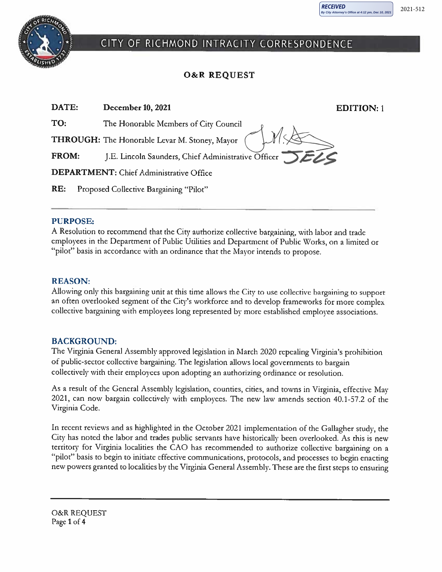

# CITY OF RICHMOND INTRACITY CORRESPONDENCE

# **O&R REQUEST**

| DATE:                                          | <b>December 10, 2021</b>                            | <b>EDITION:</b> 1 |  |  |
|------------------------------------------------|-----------------------------------------------------|-------------------|--|--|
| TO:                                            | The Honorable Members of City Council               |                   |  |  |
| THROUGH: The Honorable Levar M. Stoney, Mayor  |                                                     |                   |  |  |
| <b>FROM:</b>                                   | J.E. Lincoln Saunders, Chief Administrative Officer |                   |  |  |
| <b>DEPARTMENT:</b> Chief Administrative Office |                                                     |                   |  |  |
| RE:                                            | Proposed Collective Bargaining "Pilot"              |                   |  |  |
|                                                |                                                     |                   |  |  |

## **PURPOSE:**

A Resolution to recommend that the City authorize collective bargaining, with labor and trade employees in the Department of Public Utilities and Department of Public Works, on a limited or "pilot" basis in accordance with an ordinance that the Mayor intends to propose.

# **REASON:**

Allowing only this bargaining unit at this time allows the City to use collective bargaining to support an often overlooked segment of the City's workforce and to develop frameworks for more complex collective bargaining with employees long represented by more established employee associations.

# **BACKGROUND:**

The Virginia General Assembly approved legislation in March 2020 repealing Virginia's prohibition of public-sector collective bargaining. The legislation allows local governments to bargain collectively with their employees upon adopting an authorizing ordinance or resolution.

As a result of the General Assembly legislation, counties, cities, and towns in Virginia, effective May 2021, can now bargain collectively with employees. The new law amends section 40.1-57.2 of the Virginia Code.

In recent reviews and as highlighted in the October 2021 implementation of the Gallagher study, the City has noted the labor and trades public servants have historically been overlooked. As this is new territory for Virginia localities the CAO has recommended to authorize collective bargaining on a "pilot" basis to begin to initiate effective communications, protocols, and processes to begin enacting new powers granted to localities by the Virginia General Assembly. These are the first steps to ensuring

**O&R REQUEST** Page 1 of 4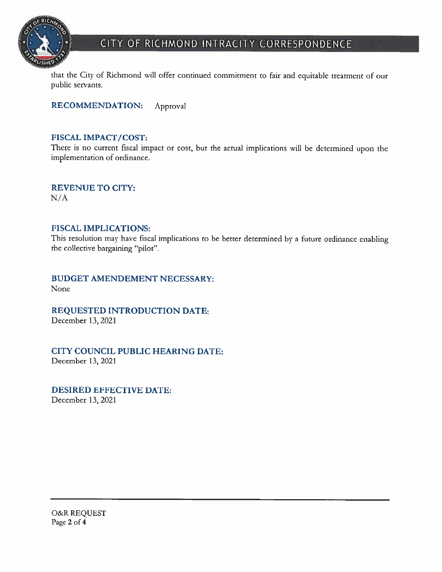

# CITY OF RICHMOND INTRACITY CORRESPONDENCE

that the City of Richmond will offer continued commitment to fair and equitable treatment of our public servants.

**RECOMMENDATION:** Approval

## **FISCAL IMPACT/COST:**

There is no current fiscal impact or cost, but the actual implications will be determined upon the implementation of ordinance.

**REVENUE TO CITY:**  $N/A$ 

#### **FISCAL IMPLICATIONS:**

This resolution may have fiscal implications to be better determined by a future ordinance enabling the collective bargaining "pilot".

**BUDGET AMENDEMENT NECESSARY:** None

REQUESTED INTRODUCTION DATE:

December 13, 2021

CITY COUNCIL PUBLIC HEARING DATE: December 13, 2021

#### **DESIRED EFFECTIVE DATE:**

December 13, 2021

O&R REQUEST<br>Page 2 of 4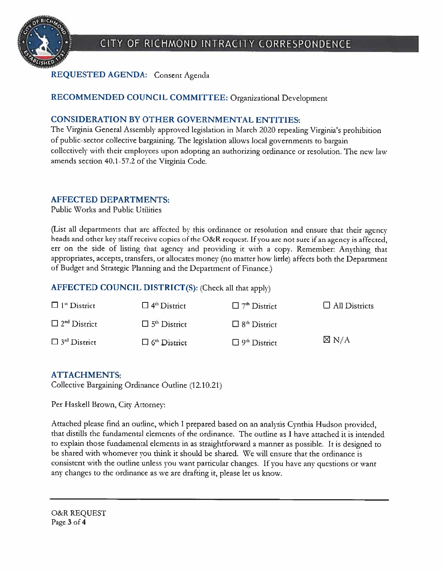

# REQUESTED AGENDA: Consent Agenda

# RECOMMENDED COUNCIL COMMITTEE: Organizational Development

# **CONSIDERATION BY OTHER GOVERNMENTAL ENTITIES:**

The Virginia General Assembly approved legislation in March 2020 repealing Virginia's prohibition of public-sector collective bargaining. The legislation allows local governments to bargain collectively with their employees upon adopting an authorizing ordinance or resolution. The new law amends section 40.1-57.2 of the Virginia Code.

# **AFFECTED DEPARTMENTS:**

Public Works and Public Utilities

(List all departments that are affected by this ordinance or resolution and ensure that their agency heads and other key staff receive copies of the O&R request. If you are not sure if an agency is affected, err on the side of listing that agency and providing it with a copy. Remember: Anything that appropriates, accepts, transfers, or allocates money (no matter how little) affects both the Department of Budget and Strategic Planning and the Department of Finance.)

# AFFECTED COUNCIL DISTRICT(S): (Check all that apply)

| $\Box$ 1 <sup>st</sup> District | $\Box$ 4 <sup>th</sup> District | $\Box$ 7 <sup>th</sup> District | $\Box$ All Districts |
|---------------------------------|---------------------------------|---------------------------------|----------------------|
| $\Box$ 2 <sup>nd</sup> District | $\Box$ 5 <sup>th</sup> District | $\Box$ 8 <sup>th</sup> District |                      |
| $\Box$ 3 <sup>rd</sup> District | $\Box$ 6 <sup>th</sup> District | $\Box$ 9 <sup>th</sup> District | $\boxtimes$ N/A      |

# **ATTACHMENTS:**

Collective Bargaining Ordinance Outline (12.10.21)

Per Haskell Brown, City Attorney:

Attached please find an outline, which I prepared based on an analysis Cynthia Hudson provided, that distills the fundamental elements of the ordinance. The outline as I have attached it is intended to explain those fundamental elements in as straightforward a manner as possible. It is designed to be shared with whomever you think it should be shared. We will ensure that the ordinance is consistent with the outline unless you want particular changes. If you have any questions or want any changes to the ordinance as we are drafting it, please let us know.

**O&R REQUEST** Page 3 of 4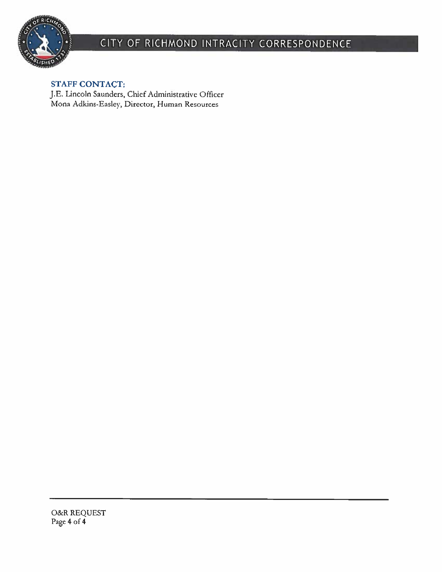

# CITY OF RICHMOND INTRACITY CORRESPONDENCE

# **STAFF CONTACT:**

J.E. Lincoln Saunders, Chief Administrative Officer<br>Mona Adkins-Easley, Director, Human Resources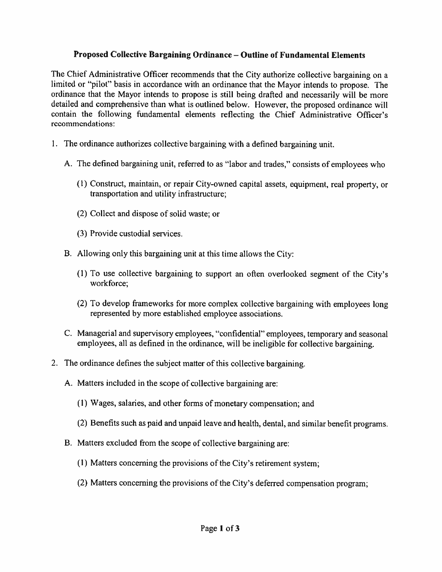# Proposed Collective Bargaining Ordinance - Outline of Fundamental Elements

The Chief Administrative Officer recommends that the City authorize collective bargaining on a limited or "pilot" basis in accordance with an ordinance that the Mayor intends to propose. The ordinance that the Mayor intends to propose is still being drafted and necessarily will be more detailed and comprehensive than what is outlined below. However, the proposed ordinance will contain the following fundamental elements reflecting the Chief Administrative Officer's recommendations:

- 1. The ordinance authorizes collective bargaining with a defined bargaining unit.
	- A. The defined bargaining unit, referred to as "labor and trades," consists of employees who
		- (1) Construct, maintain, or repair City-owned capital assets, equipment, real property, or transportation and utility infrastructure;
		- (2) Collect and dispose of solid waste; or
		- (3) Provide custodial services.
	- B. Allowing only this bargaining unit at this time allows the City:
		- (1) To use collective bargaining to support an often overlooked segment of the City's workforce;
		- (2) To develop frameworks for more complex collective bargaining with employees long represented by more established employee associations.
	- C. Managerial and supervisory employees, "confidential" employees, temporary and seasonal employees, all as defined in the ordinance, will be ineligible for collective bargaining.
- 2. The ordinance defines the subject matter of this collective bargaining.
	- A. Matters included in the scope of collective bargaining are:
		- (1) Wages, salaries, and other forms of monetary compensation; and
		- (2) Benefits such as paid and unpaid leave and health, dental, and similar benefit programs.
	- B. Matters excluded from the scope of collective bargaining are:
		- (1) Matters concerning the provisions of the City's retirement system;
		- (2) Matters concerning the provisions of the City's deferred compensation program;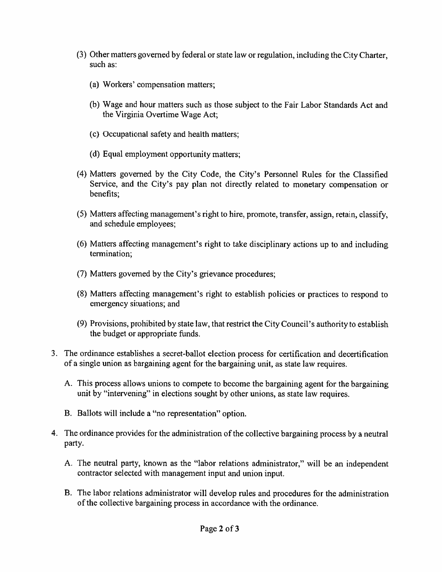- (3) Other matters governed by federal or state law or regulation, including the City Charter, such as:
	- (a) Workers' compensation matters;
	- (b) Wage and hour matters such as those subject to the Fair Labor Standards Act and the Virginia Overtime Wage Act;
	- (c) Occupational safety and health matters;
	- (d) Equal employment opportunity matters;
- (4) Matters governed by the City Code, the City's Personnel Rules for the Classified Service, and the City's pay plan not directly related to monetary compensation or benefits;
- (5) Matters affecting management's right to hire, promote, transfer, assign, retain, classify, and schedule employees;
- (6) Matters affecting management's right to take disciplinary actions up to and including termination;
- (7) Matters governed by the City's grievance procedures;
- (8) Matters affecting management's right to establish policies or practices to respond to emergency situations; and
- (9) Provisions, prohibited by state law, that restrict the City Council's authority to establish the budget or appropriate funds.
- 3. The ordinance establishes a secret-ballot election process for certification and decertification of a single union as bargaining agent for the bargaining unit, as state law requires.
	- A. This process allows unions to compete to become the bargaining agent for the bargaining unit by "intervening" in elections sought by other unions, as state law requires.
	- B. Ballots will include a "no representation" option.
- 4. The ordinance provides for the administration of the collective bargaining process by a neutral party.
	- A. The neutral party, known as the "labor relations administrator," will be an independent contractor selected with management input and union input.
	- B. The labor relations administrator will develop rules and procedures for the administration of the collective bargaining process in accordance with the ordinance.